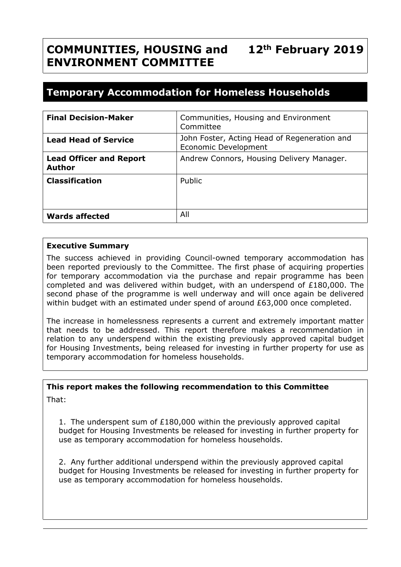### **COMMUNITIES, HOUSING and ENVIRONMENT COMMITTEE 12th February 2019**

# **Temporary Accommodation for Homeless Households**

| <b>Final Decision-Maker</b>                     | Communities, Housing and Environment<br>Committee                    |
|-------------------------------------------------|----------------------------------------------------------------------|
| <b>Lead Head of Service</b>                     | John Foster, Acting Head of Regeneration and<br>Economic Development |
| <b>Lead Officer and Report</b><br><b>Author</b> | Andrew Connors, Housing Delivery Manager.                            |
| <b>Classification</b>                           | Public                                                               |
|                                                 |                                                                      |
| <b>Wards affected</b>                           | All                                                                  |

### **Executive Summary**

The success achieved in providing Council-owned temporary accommodation has been reported previously to the Committee. The first phase of acquiring properties for temporary accommodation via the purchase and repair programme has been completed and was delivered within budget, with an underspend of £180,000. The second phase of the programme is well underway and will once again be delivered within budget with an estimated under spend of around £63,000 once completed.

The increase in homelessness represents a current and extremely important matter that needs to be addressed. This report therefore makes a recommendation in relation to any underspend within the existing previously approved capital budget for Housing Investments, being released for investing in further property for use as temporary accommodation for homeless households.

### **This report makes the following recommendation to this Committee**

That:

1. The underspent sum of £180,000 within the previously approved capital budget for Housing Investments be released for investing in further property for use as temporary accommodation for homeless households.

2. Any further additional underspend within the previously approved capital budget for Housing Investments be released for investing in further property for use as temporary accommodation for homeless households.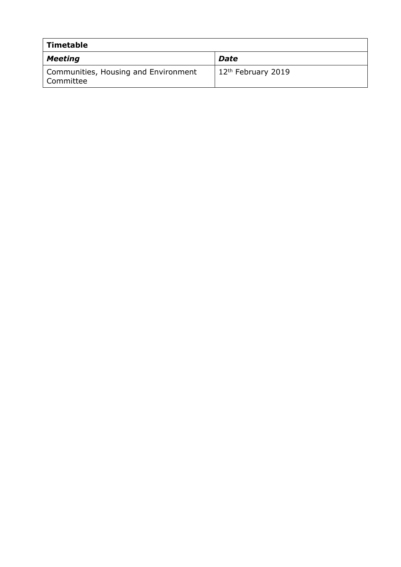| Timetable                                         |                                |
|---------------------------------------------------|--------------------------------|
| Meeting                                           | <b>Date</b>                    |
| Communities, Housing and Environment<br>Committee | 12 <sup>th</sup> February 2019 |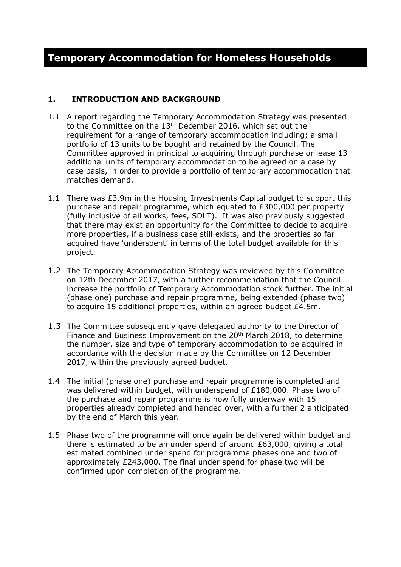### **1. INTRODUCTION AND BACKGROUND**

- 1.1 A report regarding the Temporary Accommodation Strategy was presented to the Committee on the 13<sup>th</sup> December 2016, which set out the requirement for a range of temporary accommodation including; a small portfolio of 13 units to be bought and retained by the Council. The Committee approved in principal to acquiring through purchase or lease 13 additional units of temporary accommodation to be agreed on a case by case basis, in order to provide a portfolio of temporary accommodation that matches demand.
- 1.1 There was £3.9m in the Housing Investments Capital budget to support this purchase and repair programme, which equated to £300,000 per property (fully inclusive of all works, fees, SDLT). It was also previously suggested that there may exist an opportunity for the Committee to decide to acquire more properties, if a business case still exists, and the properties so far acquired have 'underspent' in terms of the total budget available for this project.
- 1.2 The Temporary Accommodation Strategy was reviewed by this Committee on 12th December 2017, with a further recommendation that the Council increase the portfolio of Temporary Accommodation stock further. The initial (phase one) purchase and repair programme, being extended (phase two) to acquire 15 additional properties, within an agreed budget £4.5m.
- 1.3 The Committee subsequently gave delegated authority to the Director of Finance and Business Improvement on the 20<sup>th</sup> March 2018, to determine the number, size and type of temporary accommodation to be acquired in accordance with the decision made by the Committee on 12 December 2017, within the previously agreed budget.
- 1.4 The initial (phase one) purchase and repair programme is completed and was delivered within budget, with underspend of  $£180,000$ . Phase two of the purchase and repair programme is now fully underway with 15 properties already completed and handed over, with a further 2 anticipated by the end of March this year.
- 1.5 Phase two of the programme will once again be delivered within budget and there is estimated to be an under spend of around £63,000, giving a total estimated combined under spend for programme phases one and two of approximately £243,000. The final under spend for phase two will be confirmed upon completion of the programme.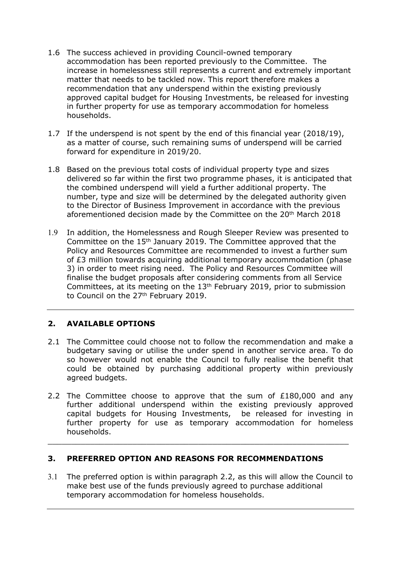- 1.6 The success achieved in providing Council-owned temporary accommodation has been reported previously to the Committee. The increase in homelessness still represents a current and extremely important matter that needs to be tackled now. This report therefore makes a recommendation that any underspend within the existing previously approved capital budget for Housing Investments, be released for investing in further property for use as temporary accommodation for homeless households.
- 1.7 If the underspend is not spent by the end of this financial year (2018/19), as a matter of course, such remaining sums of underspend will be carried forward for expenditure in 2019/20.
- 1.8 Based on the previous total costs of individual property type and sizes delivered so far within the first two programme phases, it is anticipated that the combined underspend will yield a further additional property. The number, type and size will be determined by the delegated authority given to the Director of Business Improvement in accordance with the previous aforementioned decision made by the Committee on the 20<sup>th</sup> March 2018
- 1.9 In addition, the Homelessness and Rough Sleeper Review was presented to Committee on the 15th January 2019. The Committee approved that the Policy and Resources Committee are recommended to invest a further sum of £3 million towards acquiring additional temporary accommodation (phase 3) in order to meet rising need. The Policy and Resources Committee will finalise the budget proposals after considering comments from all Service Committees, at its meeting on the 13th February 2019, prior to submission to Council on the 27<sup>th</sup> February 2019.

## **2. AVAILABLE OPTIONS**

- 2.1 The Committee could choose not to follow the recommendation and make a budgetary saving or utilise the under spend in another service area. To do so however would not enable the Council to fully realise the benefit that could be obtained by purchasing additional property within previously agreed budgets.
- 2.2 The Committee choose to approve that the sum of £180,000 and any further additional underspend within the existing previously approved capital budgets for Housing Investments, be released for investing in further property for use as temporary accommodation for homeless households.

 $\_$  , and the contribution of the contribution of  $\mathcal{L}_\mathcal{A}$  , and the contribution of  $\mathcal{L}_\mathcal{A}$ 

### **3. PREFERRED OPTION AND REASONS FOR RECOMMENDATIONS**

3.1 The preferred option is within paragraph 2.2, as this will allow the Council to make best use of the funds previously agreed to purchase additional temporary accommodation for homeless households.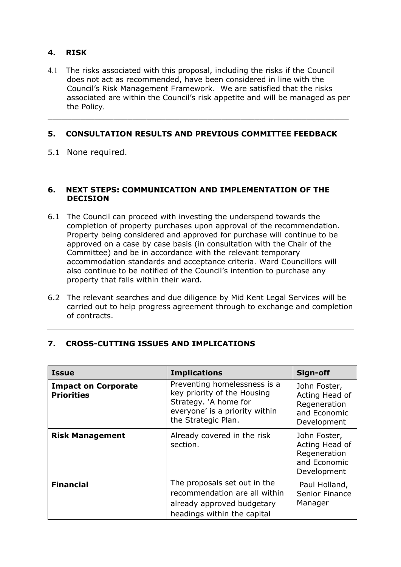### **4. RISK**

4.1 The risks associated with this proposal, including the risks if the Council does not act as recommended, have been considered in line with the Council's Risk Management Framework. We are satisfied that the risks associated are within the Council's risk appetite and will be managed as per the Policy.

 $\_$  , and the contribution of the contribution of  $\mathcal{L}_\mathcal{A}$  , and the contribution of  $\mathcal{L}_\mathcal{A}$ 

### **5. CONSULTATION RESULTS AND PREVIOUS COMMITTEE FEEDBACK**

5.1 None required.

#### **6. NEXT STEPS: COMMUNICATION AND IMPLEMENTATION OF THE DECISION**

- 6.1 The Council can proceed with investing the underspend towards the completion of property purchases upon approval of the recommendation. Property being considered and approved for purchase will continue to be approved on a case by case basis (in consultation with the Chair of the Committee) and be in accordance with the relevant temporary accommodation standards and acceptance criteria. Ward Councillors will also continue to be notified of the Council's intention to purchase any property that falls within their ward.
- 6.2 The relevant searches and due diligence by Mid Kent Legal Services will be carried out to help progress agreement through to exchange and completion of contracts.

### **7. CROSS-CUTTING ISSUES AND IMPLICATIONS**

| <b>Issue</b>                                    | <b>Implications</b>                                                                                                                           | Sign-off                                                                      |
|-------------------------------------------------|-----------------------------------------------------------------------------------------------------------------------------------------------|-------------------------------------------------------------------------------|
| <b>Impact on Corporate</b><br><b>Priorities</b> | Preventing homelessness is a<br>key priority of the Housing<br>Strategy. `A home for<br>everyone' is a priority within<br>the Strategic Plan. | John Foster,<br>Acting Head of<br>Regeneration<br>and Economic<br>Development |
| <b>Risk Management</b>                          | Already covered in the risk<br>section.                                                                                                       | John Foster,<br>Acting Head of<br>Regeneration<br>and Economic<br>Development |
| <b>Financial</b>                                | The proposals set out in the<br>recommendation are all within<br>already approved budgetary<br>headings within the capital                    | Paul Holland,<br>Senior Finance<br>Manager                                    |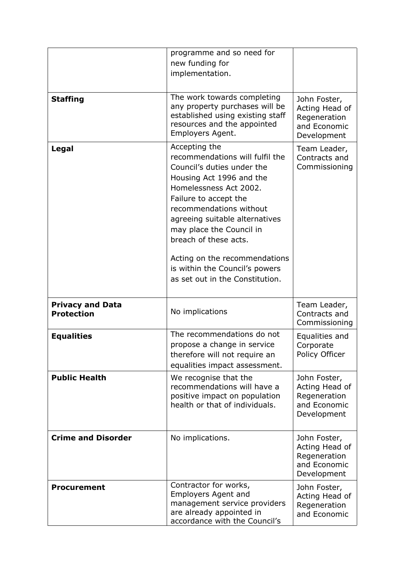|                                              | programme and so need for<br>new funding for<br>implementation.                                                                                                                                                                                                                                                                                                                       |                                                                               |
|----------------------------------------------|---------------------------------------------------------------------------------------------------------------------------------------------------------------------------------------------------------------------------------------------------------------------------------------------------------------------------------------------------------------------------------------|-------------------------------------------------------------------------------|
| <b>Staffing</b>                              | The work towards completing<br>any property purchases will be<br>established using existing staff<br>resources and the appointed<br>Employers Agent.                                                                                                                                                                                                                                  | John Foster,<br>Acting Head of<br>Regeneration<br>and Economic<br>Development |
| Legal                                        | Accepting the<br>recommendations will fulfil the<br>Council's duties under the<br>Housing Act 1996 and the<br>Homelessness Act 2002.<br>Failure to accept the<br>recommendations without<br>agreeing suitable alternatives<br>may place the Council in<br>breach of these acts.<br>Acting on the recommendations<br>is within the Council's powers<br>as set out in the Constitution. | Team Leader,<br>Contracts and<br>Commissioning                                |
| <b>Privacy and Data</b><br><b>Protection</b> | No implications                                                                                                                                                                                                                                                                                                                                                                       | Team Leader,<br>Contracts and<br>Commissioning                                |
| <b>Equalities</b>                            | The recommendations do not<br>propose a change in service<br>therefore will not require an<br>equalities impact assessment.                                                                                                                                                                                                                                                           | Equalities and<br>Corporate<br>Policy Officer                                 |
| <b>Public Health</b>                         | We recognise that the<br>recommendations will have a<br>positive impact on population<br>health or that of individuals.                                                                                                                                                                                                                                                               | John Foster,<br>Acting Head of<br>Regeneration<br>and Economic<br>Development |
| <b>Crime and Disorder</b>                    | No implications.                                                                                                                                                                                                                                                                                                                                                                      | John Foster,<br>Acting Head of<br>Regeneration<br>and Economic<br>Development |
| <b>Procurement</b>                           | Contractor for works,<br><b>Employers Agent and</b><br>management service providers<br>are already appointed in<br>accordance with the Council's                                                                                                                                                                                                                                      | John Foster,<br>Acting Head of<br>Regeneration<br>and Economic                |